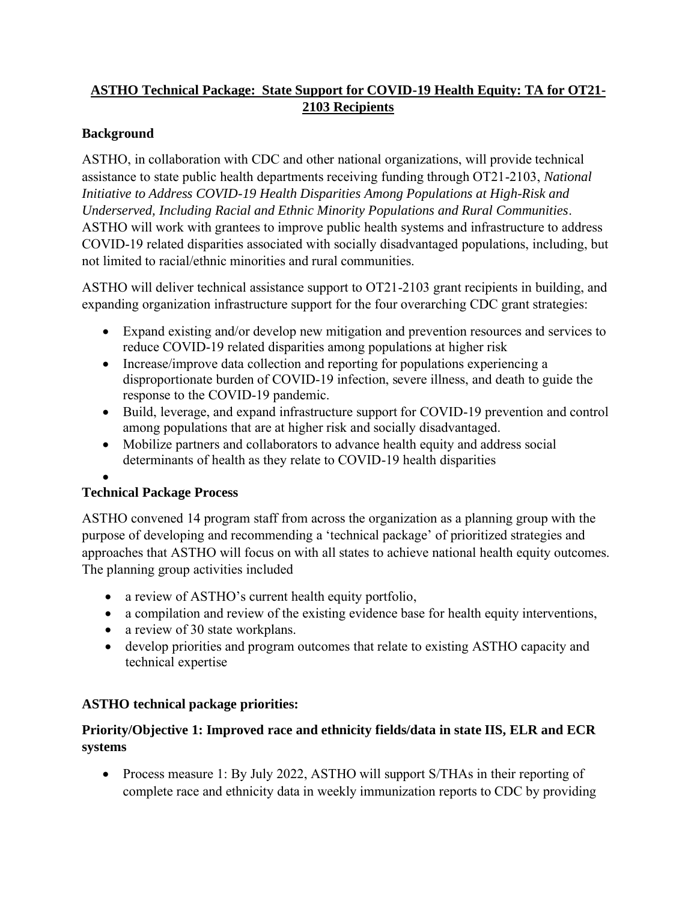# **ASTHO Technical Package: State Support for COVID-19 Health Equity: TA for OT21- 2103 Recipients**

## **Background**

ASTHO, in collaboration with CDC and other national organizations, will provide technical assistance to state public health departments receiving funding through OT21-2103, *National Initiative to Address COVID-19 Health Disparities Among Populations at High-Risk and Underserved, Including Racial and Ethnic Minority Populations and Rural Communities*. ASTHO will work with grantees to improve public health systems and infrastructure to address COVID-19 related disparities associated with socially disadvantaged populations, including, but not limited to racial/ethnic minorities and rural communities.

ASTHO will deliver technical assistance support to OT21-2103 grant recipients in building, and expanding organization infrastructure support for the four overarching CDC grant strategies:

- Expand existing and/or develop new mitigation and prevention resources and services to reduce COVID-19 related disparities among populations at higher risk
- Increase/improve data collection and reporting for populations experiencing a disproportionate burden of COVID-19 infection, severe illness, and death to guide the response to the COVID-19 pandemic.
- Build, leverage, and expand infrastructure support for COVID-19 prevention and control among populations that are at higher risk and socially disadvantaged.
- Mobilize partners and collaborators to advance health equity and address social determinants of health as they relate to COVID-19 health disparities
- •

#### **Technical Package Process**

ASTHO convened 14 program staff from across the organization as a planning group with the purpose of developing and recommending a 'technical package' of prioritized strategies and approaches that ASTHO will focus on with all states to achieve national health equity outcomes. The planning group activities included

- a review of ASTHO's current health equity portfolio,
- a compilation and review of the existing evidence base for health equity interventions,
- a review of 30 state workplans.
- develop priorities and program outcomes that relate to existing ASTHO capacity and technical expertise

# **ASTHO technical package priorities:**

## **Priority/Objective 1: Improved race and ethnicity fields/data in state IIS, ELR and ECR systems**

• Process measure 1: By July 2022, ASTHO will support S/THAs in their reporting of complete race and ethnicity data in weekly immunization reports to CDC by providing